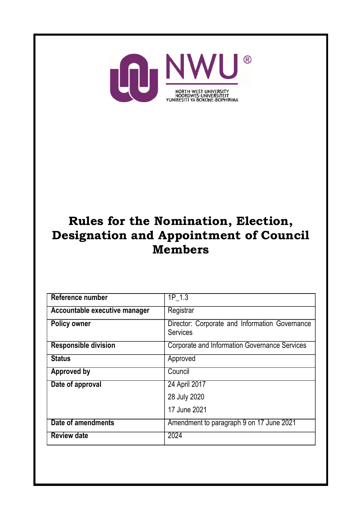

# Rules for the Nomination, Election, Designation and Appointment of Council **Members**

| Reference number              | 1P 1.3                                                            |
|-------------------------------|-------------------------------------------------------------------|
| Accountable executive manager | Registrar                                                         |
| <b>Policy owner</b>           | Director: Corporate and Information Governance<br><b>Services</b> |
| <b>Responsible division</b>   | <b>Corporate and Information Governance Services</b>              |
| <b>Status</b>                 | Approved                                                          |
| <b>Approved by</b>            | Council                                                           |
| Date of approval              | 24 April 2017                                                     |
|                               | 28 July 2020                                                      |
|                               | 17 June 2021                                                      |
| Date of amendments            | Amendment to paragraph 9 on 17 June 2021                          |
| <b>Review date</b>            | 2024                                                              |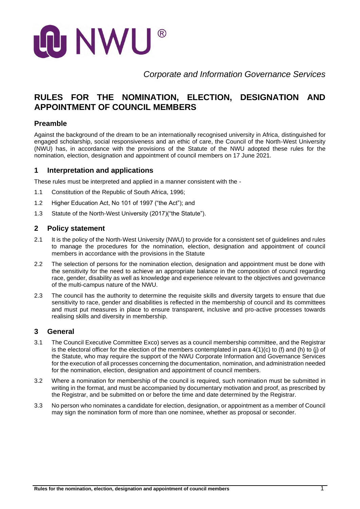

*Corporate and Information Governance Services*

# **RULES FOR THE NOMINATION, ELECTION, DESIGNATION AND APPOINTMENT OF COUNCIL MEMBERS**

#### **Preamble**

Against the background of the dream to be an internationally recognised university in Africa, distinguished for engaged scholarship, social responsiveness and an ethic of care, the Council of the North-West University (NWU) has, in accordance with the provisions of the Statute of the NWU adopted these rules for the nomination, election, designation and appointment of council members on 17 June 2021.

#### **1 Interpretation and applications**

These rules must be interpreted and applied in a manner consistent with the -

- 1.1 Constitution of the Republic of South Africa, 1996;
- 1.2 Higher Education Act, No 101 of 1997 ("the Act"); and
- 1.3 Statute of the North-West University (2017)("the Statute").

#### **2 Policy statement**

- 2.1 It is the policy of the North-West University (NWU) to provide for a consistent set of quidelines and rules to manage the procedures for the nomination, election, designation and appointment of council members in accordance with the provisions in the Statute
- 2.2 The selection of persons for the nomination election, designation and appointment must be done with the sensitivity for the need to achieve an appropriate balance in the composition of council regarding race, gender, disability as well as knowledge and experience relevant to the objectives and governance of the multi-campus nature of the NWU.
- 2.3 The council has the authority to determine the requisite skills and diversity targets to ensure that due sensitivity to race, gender and disabilities is reflected in the membership of council and its committees and must put measures in place to ensure transparent, inclusive and pro-active processes towards realising skills and diversity in membership.

#### **3 General**

- 3.1 The Council Executive Committee Exco) serves as a council membership committee, and the Registrar is the electoral officer for the election of the members contemplated in para 4(1)(c) to (f) and (h) to (j) of the Statute, who may require the support of the NWU Corporate Information and Governance Services for the execution of all processes concerning the documentation, nomination, and administration needed for the nomination, election, designation and appointment of council members.
- 3.2 Where a nomination for membership of the council is required, such nomination must be submitted in writing in the format, and must be accompanied by documentary motivation and proof, as prescribed by the Registrar, and be submitted on or before the time and date determined by the Registrar.
- 3.3 No person who nominates a candidate for election, designation, or appointment as a member of Council may sign the nomination form of more than one nominee, whether as proposal or seconder.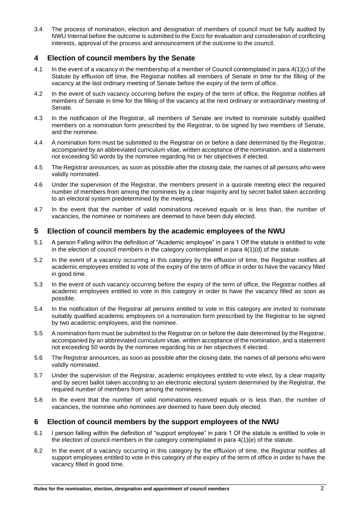3.4 The process of nomination, election and designation of members of council must be fully audited by NWU Internal before the outcome is submitted to the Exco for evaluation and consideration of conflicting interests, approval of the process and announcement of the outcome to the council.

### **4 Election of council members by the Senate**

- 4.1 In the event of a vacancy in the membership of a member of Council contemplated in para 4(1)(c) of the Statute by effluxion off time, the Registrar notifies all members of Senate in time for the filling of the vacancy at the last ordinary meeting of Senate before the expiry of the term of office.
- 4.2 In the event of such vacancy occurring before the expiry of the term of office, the Registrar notifies all members of Senate in time for the filling of the vacancy at the next ordinary or extraordinary meeting of Senate.
- 4.3 In the notification of the Registrar, all members of Senate are invited to nominate suitably qualified members on a nomination form prescribed by the Registrar, to be signed by two members of Senate, and the nominee.
- 4.4 A nomination form must be submitted to the Registrar on or before a date determined by the Registrar, accompanied by an abbreviated curriculum vitae, written acceptance of the nomination, and a statement not exceeding 50 words by the nominee regarding his or her objectives if elected.
- 4.5 The Registrar announces, as soon as possible after the closing date, the names of all persons who were validly nominated.
- 4.6 Under the supervision of the Registrar, the members present in a quorate meeting elect the required number of members from among the nominees by a clear majority and by secret ballot taken according to an electoral system predetermined by the meeting.
- 4.7 In the event that the number of valid nominations received equals or is less than, the number of vacancies, the nominee or nominees are deemed to have been duly elected.

#### **5 Election of council members by the academic employees of the NWU**

- 5.1 A person Falling within the definition of "Academic employee" in para 1 Off the statute is entitled to vote in the election of council members in the category contemplated in para 4(1)(d) of the statute.
- 5.2 In the event of a vacancy occurring in this category by the effluxion of time, the Registrar notifies all academic employees entitled to vote of the expiry of the term of office in order to have the vacancy filled in good time.
- 5.3 In the event of such vacancy occurring before the expiry of the term of office, the Registrar notifies all academic employees entitled to vote in this category in order to have the vacancy filled as soon as possible.
- 5.4 In the notification of the Registrar all persons entitled to vote in this category are invited to nominate suitably qualified academic employees on a nomination form prescribed by the Registrar to be signed by two academic employees, and the nominee.
- 5.5 A nomination form must be submitted to the Registrar on or before the date determined by the Registrar, accompanied by an abbreviated curriculum vitae, written acceptance of the nomination, and a statement not exceeding 50 words by the nominee regarding his or her objectives if elected.
- 5.6 The Registrar announces, as soon as possible after the closing date, the names of all persons who were validly nominated.
- 5.7 Under the supervision of the Registrar, academic employees entitled to vote elect, by a clear majority and by secret ballot taken according to an electronic electoral system determined by the Registrar, the required number of members from among the nominees.
- 5.8 In the event that the number of valid nominations received equals or is less than, the number of vacancies, the nominee who nominees are deemed to have been duly elected.

#### **6 Election of council members by the support employees of the NWU**

- 6.1 I person falling within the definition of "support employee" in para 1 Of the statute is entitled to vote in the election of council members in the category contemplated in para 4(1)(e) of the statute.
- 6.2 In the event of a vacancy occurring in this category by the effluxion of time, the Registrar notifies all support employees entitled to vote in this category of the expiry of the term of office in order to have the vacancy filled in good time.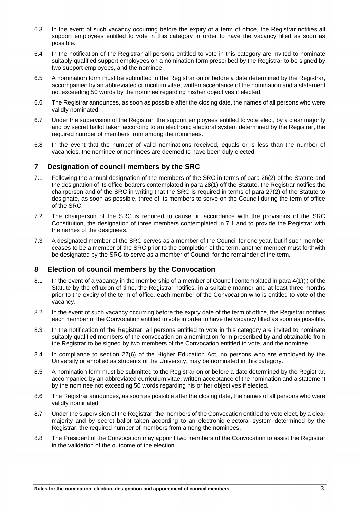- 6.3 In the event of such vacancy occurring before the expiry of a term of office, the Registrar notifies all support employees entitled to vote in this category in order to have the vacancy filled as soon as possible.
- 6.4 In the notification of the Registrar all persons entitled to vote in this category are invited to nominate suitably qualified support employees on a nomination form prescribed by the Registrar to be signed by two support employees, and the nominee.
- 6.5 A nomination form must be submitted to the Registrar on or before a date determined by the Registrar, accompanied by an abbreviated curriculum vitae, written acceptance of the nomination and a statement not exceeding 50 words by the nominee regarding his/her objectives if elected.
- 6.6 The Registrar announces, as soon as possible after the closing date, the names of all persons who were validly nominated.
- 6.7 Under the supervision of the Registrar, the support employees entitled to vote elect, by a clear majority and by secret ballot taken according to an electronic electoral system determined by the Registrar, the required number of members from among the nominees.
- 6.8 In the event that the number of valid nominations received, equals or is less than the number of vacancies, the nominee or nominees are deemed to have been duly elected.

## **7 Designation of council members by the SRC**

- 7.1 Following the annual designation of the members of the SRC in terms of para 26(2) of the Statute and the designation of its office-bearers contemplated in para 28(1) off the Statute, the Registrar notifies the chairperson and of the SRC in writing that the SRC is required in terms of para 27(2) of the Statute to designate, as soon as possible, three of its members to serve on the Council during the term of office of the SRC.
- 7.2 The chairperson of the SRC is required to cause, in accordance with the provisions of the SRC Constitution, the designation of three members contemplated in 7.1 and to provide the Registrar with the names of the designees.
- 7.3 A designated member of the SRC serves as a member of the Council for one year, but if such member ceases to be a member of the SRC prior to the completion of the term, another member must forthwith be designated by the SRC to serve as a member of Council for the remainder of the term.

#### **8 Election of council members by the Convocation**

- 8.1 In the event of a vacancy in the membership of a member of Council contemplated in para 4(1)(i) of the Statute by the effluxion of time, the Registrar notifies, in a suitable manner and at least three months prior to the expiry of the term of office, each member of the Convocation who is entitled to vote of the vacancy.
- 8.2 In the event of such vacancy occurring before the expiry date of the term of office, the Registrar notifies each member of the Convocation entitled to vote in order to have the vacancy filled as soon as possible.
- 8.3 In the notification of the Registrar, all persons entitled to vote in this category are invited to nominate suitably qualified members of the convocation on a nomination form prescribed by and obtainable from the Registrar to be signed by two members of the Convocation entitled to vote, and the nominee.
- 8.4 In compliance to section 27(6) of the Higher Education Act, no persons who are employed by the University or enrolled as students of the University, may be nominated in this category.
- 8.5 A nomination form must be submitted to the Registrar on or before a date determined by the Registrar, accompanied by an abbreviated curriculum vitae, written acceptance of the nomination and a statement by the nominee not exceeding 50 words regarding his or her objectives if elected.
- 8.6 The Registrar announces, as soon as possible after the closing date, the names of all persons who were validly nominated.
- 8.7 Under the supervision of the Registrar, the members of the Convocation entitled to vote elect, by a clear majority and by secret ballot taken according to an electronic electoral system determined by the Registrar, the required number of members from among the nominees.
- 8.8 The President of the Convocation may appoint two members of the Convocation to assist the Registrar in the validation of the outcome of the election.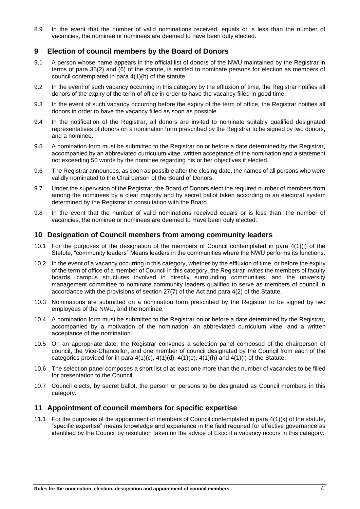8.9 In the event that the number of valid nominations received, equals or is less than the number of vacancies, the nominee or nominees are deemed to have been duly elected.

#### **9 Election of council members by the Board of Donors**

- 9.1 A person whose name appears in the official list of donors of the NWU maintained by the Registrar in terms of para 35(2) and (6) of the statute, is entitled to nominate persons for election as members of council contemplated in para 4(1)(h) of the statute.
- 9.2 In the event of such vacancy occurring in this category by the effluxion of time, the Registrar notifies all donors of the expiry of the term of office in order to have the vacancy filled in good time.
- 9.3 In the event of such vacancy occurring before the expiry of the term of office, the Registrar notifies all donors in order to have the vacancy filled as soon as possible.
- 9.4 In the notification of the Registrar, all donors are invited to nominate suitably qualified designated representatives of donors on a nomination form prescribed by the Registrar to be signed by two donors, and a nominee.
- 9.5 A nomination form must be submitted to the Registrar on or before a date determined by the Registrar, accompanied by an abbreviated curriculum vitae, written acceptance of the nomination and a statement not exceeding 50 words by the nominee regarding his or her objectives if elected.
- 9.6 The Registrar announces, as soon as possible after the closing date, the names of all persons who were validly nominated to the Chairperson of the Board of Donors.
- 9.7 Under the supervision of the Registrar, the Board of Donors elect the required number of members from among the nominees by a clear majority and by secret ballot taken according to an electoral system determined by the Registrar in consultation with the Board.
- 9.8 In the event that the number of valid nominations received equals or is less than, the number of vacancies, the nominee or nominees are deemed to Have been duly elected.

#### **10 Designation of Council members from among community leaders**

- 10.1 For the purposes of the designation of the members of Council contemplated in para 4(1)(j) of the Statute, "community leaders" Means leaders in the communities where the NWU performs its functions.
- 10.2 In the event of a vacancy occurring in this category, whether by the effluxion of time, or before the expiry of the term of office of a member of Council in this category, the Registrar invites the members of faculty boards, campus structures involved in directly surrounding communities, and the university management committee to nominate community leaders qualified to serve as members of council in accordance with the provisions of section 27(7) of the Act and para 4(2) of the Statute.
- 10.3 Nominations are submitted on a nomination form prescribed by the Registrar to be signed by two employees of the NWU, and the nominee.
- 10.4 A nomination form must be submitted to the Registrar on or before a date determined by the Registrar, accompanied by a motivation of the nomination, an abbreviated curriculum vitae, and a written acceptance of the nomination.
- 10.5 On an appropriate date, the Registrar convenes a selection panel composed of the chairperson of council, the Vice-Chancellor, and one member of council designated by the Council from each of the categories provided for in para  $4(1)(c)$ ,  $4(1)(d)$ ,  $4(1)(e)$ ,  $4(1)(h)$  and  $4(1)(i)$  of the Statute.
- 10.6 The selection panel composes a short list of at least one more than the number of vacancies to be filled for presentation to the Council.
- 10.7 Council elects, by secret ballot, the person or persons to be designated as Council members in this category.

#### **11 Appointment of council members for specific expertise**

11.1 For the purposes of the appointment of members of Council contemplated in para 4(1)(k) of the statute, "specific expertise" means knowledge and experience in the field required for effective governance as identified by the Council by resolution taken on the advice of Exco if a vacancy occurs in this category.